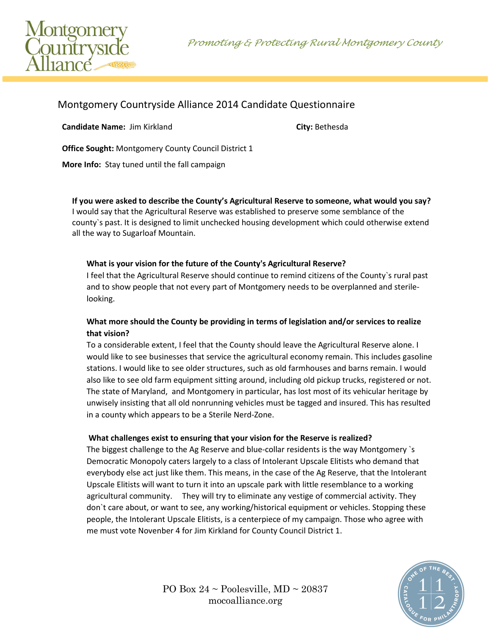Promoting & Protecting Rural Montgomery County



# Montgomery Countryside Alliance 2014 Candidate Questionnaire

**Candidate Name:** Jim Kirkland **City:** Bethesda

**Office Sought:** Montgomery County Council District 1

**More Info:** Stay tuned until the fall campaign

**If you were asked to describe the County's Agricultural Reserve to someone, what would you say?** I would say that the Agricultural Reserve was established to preserve some semblance of the county`s past. It is designed to limit unchecked housing development which could otherwise extend all the way to Sugarloaf Mountain.

# **What is your vision for the future of the County's Agricultural Reserve?**

I feel that the Agricultural Reserve should continue to remind citizens of the County`s rural past and to show people that not every part of Montgomery needs to be overplanned and sterilelooking.

# **What more should the County be providing in terms of legislation and/or services to realize that vision?**

To a considerable extent, I feel that the County should leave the Agricultural Reserve alone. I would like to see businesses that service the agricultural economy remain. This includes gasoline stations. I would like to see older structures, such as old farmhouses and barns remain. I would also like to see old farm equipment sitting around, including old pickup trucks, registered or not. The state of Maryland, and Montgomery in particular, has lost most of its vehicular heritage by unwisely insisting that all old nonrunning vehicles must be tagged and insured. This has resulted in a county which appears to be a Sterile Nerd-Zone.

### **What challenges exist to ensuring that your vision for the Reserve is realized?**

The biggest challenge to the Ag Reserve and blue-collar residents is the way Montgomery `s Democratic Monopoly caters largely to a class of Intolerant Upscale Elitists who demand that everybody else act just like them. This means, in the case of the Ag Reserve, that the Intolerant Upscale Elitists will want to turn it into an upscale park with little resemblance to a working agricultural community. They will try to eliminate any vestige of commercial activity. They don`t care about, or want to see, any working/historical equipment or vehicles. Stopping these people, the Intolerant Upscale Elitists, is a centerpiece of my campaign. Those who agree with me must vote Novenber 4 for Jim Kirkland for County Council District 1.